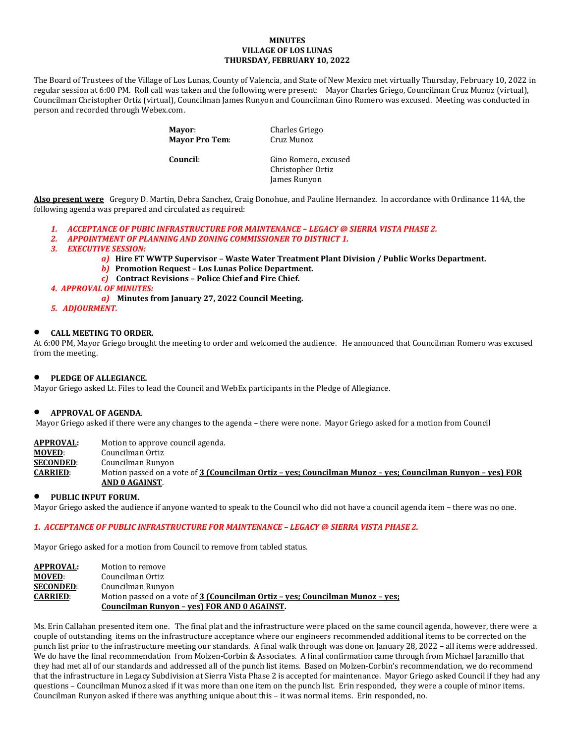#### **MINUTES VILLAGE OF LOS LUNAS THURSDAY, FEBRUARY 10, 2022**

The Board of Trustees of the Village of Los Lunas, County of Valencia, and State of New Mexico met virtually Thursday, February 10, 2022 in regular session at 6:00 PM. Roll call was taken and the following were present: Mayor Charles Griego, Councilman Cruz Munoz (virtual), Councilman Christopher Ortiz (virtual), Councilman James Runyon and Councilman Gino Romero was excused. Meeting was conducted in person and recorded through Webex.com.

**Mayor Pro Tem:** 

**Mayor:** Charles Griego<br> **Mayor Pro Tem:** Cruz Munoz

**Council:** Gino Romero, excused Christopher Ortiz James Runyon

**Also present were** Gregory D. Martin, Debra Sanchez, Craig Donohue, and Pauline Hernandez. In accordance with Ordinance 114A, the following agenda was prepared and circulated as required:

- *1. ACCEPTANCE OF PUBIC INFRASTRUCTURE FOR MAINTENANCE – LEGACY @ SIERRA VISTA PHASE 2.*
- *2. APPOINTMENT OF PLANNING AND ZONING COMMISSIONER TO DISTRICT 1.*
- *3. EXECUTIVE SESSION:*
	- *a)* **Hire FT WWTP Supervisor – Waste Water Treatment Plant Division / Public Works Department.**
	- *b)* **Promotion Request – Los Lunas Police Department.**
	- *c)* **Contract Revisions – Police Chief and Fire Chief.**
- *4. APPROVAL OF MINUTES:*
	- *a)* **Minutes from January 27, 2022 Council Meeting.**
- *5. ADJOURMENT.*

### • **CALL MEETING TO ORDER.**

At 6:00 PM, Mayor Griego brought the meeting to order and welcomed the audience. He announced that Councilman Romero was excused from the meeting.

# • **PLEDGE OF ALLEGIANCE.**

Mayor Griego asked Lt. Files to lead the Council and WebEx participants in the Pledge of Allegiance.

#### • **APPROVAL OF AGENDA**.

Mayor Griego asked if there were any changes to the agenda – there were none. Mayor Griego asked for a motion from Council

**APPROVAL:** Motion to approve council agenda.

- **MOVED:** Councilman Ortiz<br>**SECONDED:** Councilman Runyo
- **SECONDED:** Councilman Runyon<br>**CARRIED:** Motion passed on a v

**CARRIED**: Motion passed on a vote of **3 (Councilman Ortiz – yes; Councilman Munoz – yes; Councilman Runyon – yes) FOR AND 0 AGAINST**.

## • **PUBLIC INPUT FORUM.**

Mayor Griego asked the audience if anyone wanted to speak to the Council who did not have a council agenda item – there was no one.

# *1. ACCEPTANCE OF PUBLIC INFRASTRUCTURE FOR MAINTENANCE – LEGACY @ SIERRA VISTA PHASE 2.*

Mayor Griego asked for a motion from Council to remove from tabled status.

| <b>APPROVAL:</b> | Motion to remove                                                              |
|------------------|-------------------------------------------------------------------------------|
| <b>MOVED:</b>    | Councilman Ortiz                                                              |
| <b>SECONDED:</b> | Councilman Runyon                                                             |
| <b>CARRIED:</b>  | Motion passed on a vote of 3 (Councilman Ortiz - yes; Councilman Munoz - yes; |
|                  | Councilman Runyon - yes) FOR AND 0 AGAINST.                                   |

Ms. Erin Callahan presented item one. The final plat and the infrastructure were placed on the same council agenda, however, there were a couple of outstanding items on the infrastructure acceptance where our engineers recommended additional items to be corrected on the punch list prior to the infrastructure meeting our standards. A final walk through was done on January 28, 2022 – all items were addressed. We do have the final recommendation from Molzen-Corbin & Associates. A final confirmation came through from Michael Jaramillo that they had met all of our standards and addressed all of the punch list items. Based on Molzen-Corbin's recommendation, we do recommend that the infrastructure in Legacy Subdivision at Sierra Vista Phase 2 is accepted for maintenance. Mayor Griego asked Council if they had any questions – Councilman Munoz asked if it was more than one item on the punch list. Erin responded, they were a couple of minor items. Councilman Runyon asked if there was anything unique about this – it was normal items. Erin responded, no.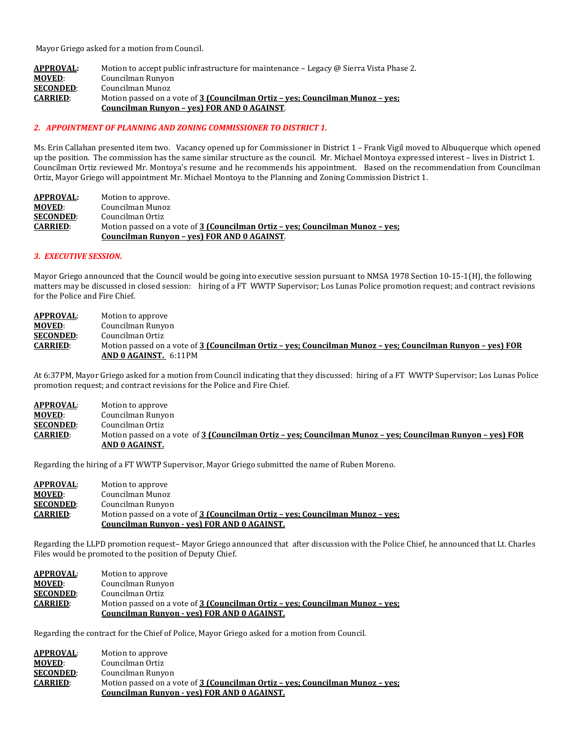Mayor Griego asked for a motion from Council.

| <b>APPROVAL:</b> | Motion to accept public infrastructure for maintenance – Legacy @ Sierra Vista Phase 2. |
|------------------|-----------------------------------------------------------------------------------------|
| <b>MOVED:</b>    | Councilman Runyon                                                                       |
| <b>SECONDED:</b> | Councilman Munoz                                                                        |
| <b>CARRIED:</b>  | Motion passed on a vote of 3 (Councilman Ortiz – ves; Councilman Munoz – ves;           |
|                  | Councilman Runyon - yes) FOR AND 0 AGAINST.                                             |

#### *2. APPOINTMENT OF PLANNING AND ZONING COMMISSIONER TO DISTRICT 1.*

Ms. Erin Callahan presented item two. Vacancy opened up for Commissioner in District 1 – Frank Vigil moved to Albuquerque which opened up the position. The commission has the same similar structure as the council. Mr. Michael Montoya expressed interest – lives in District 1. Councilman Ortiz reviewed Mr. Montoya's resume and he recommends his appointment. Based on the recommendation from Councilman Ortiz, Mayor Griego will appointment Mr. Michael Montoya to the Planning and Zoning Commission District 1.

| <b>APPROVAL:</b> | Motion to approve.                                                            |
|------------------|-------------------------------------------------------------------------------|
| <b>MOVED:</b>    | Councilman Munoz                                                              |
| <b>SECONDED:</b> | Councilman Ortiz                                                              |
| <b>CARRIED:</b>  | Motion passed on a vote of 3 (Councilman Ortiz – yes; Councilman Munoz – yes; |
|                  | Councilman Runyon - yes) FOR AND 0 AGAINST.                                   |

#### *3. EXECUTIVE SESSION.*

Mayor Griego announced that the Council would be going into executive session pursuant to NMSA 1978 Section 10-15-1(H), the following matters may be discussed in closed session: hiring of a FT WWTP Supervisor; Los Lunas Police promotion request; and contract revisions for the Police and Fire Chief.

| <b>APPROVAL:</b> | Motion to approve                                                                                          |
|------------------|------------------------------------------------------------------------------------------------------------|
| <b>MOVED:</b>    | Councilman Runyon                                                                                          |
| <b>SECONDED:</b> | Councilman Ortiz                                                                                           |
| <b>CARRIED:</b>  | Motion passed on a vote of 3 (Councilman Ortiz - yes; Councilman Munoz - yes; Councilman Runyon - yes) FOR |
|                  | AND 0 AGAINST. 6:11PM                                                                                      |

At 6:37PM, Mayor Griego asked for a motion from Council indicating that they discussed: hiring of a FT WWTP Supervisor; Los Lunas Police promotion request; and contract revisions for the Police and Fire Chief.

| <b>APPROVAL:</b> | Motion to approve                                                                                          |
|------------------|------------------------------------------------------------------------------------------------------------|
| <b>MOVED:</b>    | Councilman Runyon                                                                                          |
| <b>SECONDED:</b> | Councilman Ortiz                                                                                           |
| <b>CARRIED:</b>  | Motion passed on a vote of 3 (Councilman Ortiz – ves: Councilman Munoz – ves: Councilman Runyon – ves) FOR |
|                  | AND 0 AGAINST.                                                                                             |

Regarding the hiring of a FT WWTP Supervisor, Mayor Griego submitted the name of Ruben Moreno.

| <b>APPROVAL:</b> | Motion to approve                                                             |
|------------------|-------------------------------------------------------------------------------|
| <b>MOVED:</b>    | Councilman Munoz                                                              |
| <b>SECONDED:</b> | Councilman Runyon                                                             |
| <b>CARRIED:</b>  | Motion passed on a vote of 3 (Councilman Ortiz - yes; Councilman Munoz - yes; |
|                  | <b>Councilman Runyon - yes) FOR AND 0 AGAINST.</b>                            |

Regarding the LLPD promotion request– Mayor Griego announced that after discussion with the Police Chief, he announced that Lt. Charles Files would be promoted to the position of Deputy Chief.

| <b>APPROVAL:</b> | Motion to approve                                                             |
|------------------|-------------------------------------------------------------------------------|
| <b>MOVED:</b>    | Councilman Runyon                                                             |
| <b>SECONDED:</b> | Councilman Ortiz                                                              |
| <b>CARRIED:</b>  | Motion passed on a vote of 3 (Councilman Ortiz - yes; Councilman Munoz - yes; |
|                  | <b>Councilman Runyon - yes) FOR AND 0 AGAINST.</b>                            |

Regarding the contract for the Chief of Police, Mayor Griego asked for a motion from Council.

| <b>APPROVAL:</b> | Motion to approve                                                             |
|------------------|-------------------------------------------------------------------------------|
| <b>MOVED:</b>    | Councilman Ortiz                                                              |
| <b>SECONDED:</b> | Councilman Runyon                                                             |
| <b>CARRIED:</b>  | Motion passed on a vote of 3 (Councilman Ortiz - yes; Councilman Munoz - yes; |
|                  | Councilman Runyon - yes) FOR AND 0 AGAINST.                                   |